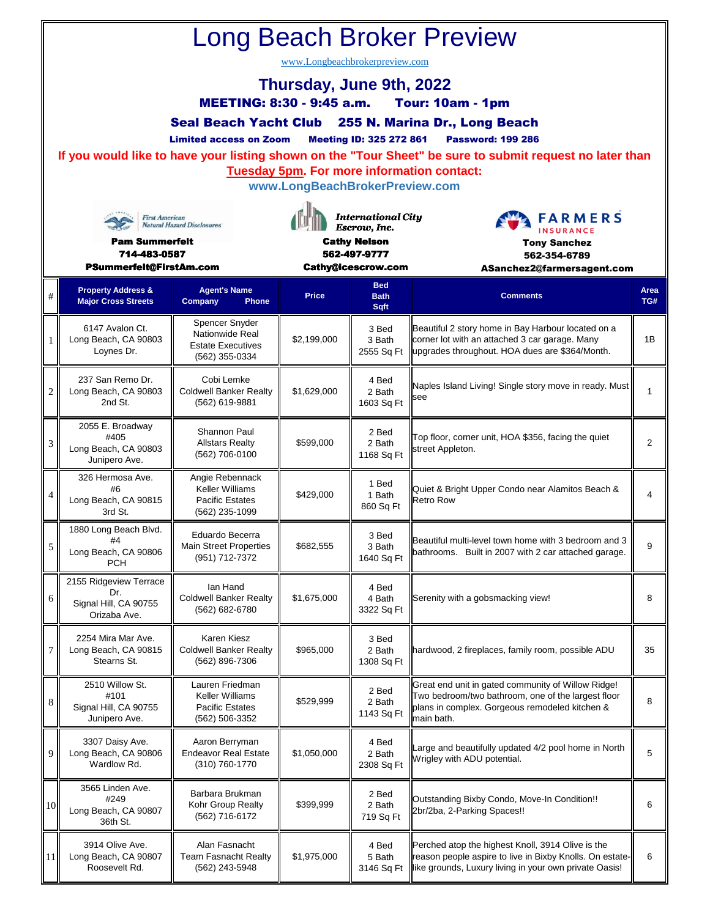| <b>Long Beach Broker Preview</b><br>www.Longbeachbrokerpreview.com<br>Thursday, June 9th, 2022<br><b>MEETING: 8:30 - 9:45 a.m.</b><br><b>Tour: 10am - 1pm</b><br>Seal Beach Yacht Club 255 N. Marina Dr., Long Beach<br><b>Meeting ID: 325 272 861</b><br><b>Limited access on Zoom</b><br><b>Password: 199 286</b><br>If you would like to have your listing shown on the "Tour Sheet" be sure to submit request no later than<br><b>Tuesday 5pm. For more information contact:</b><br>www.LongBeachBrokerPreview.com<br><b>International City</b><br><b>FARMERS</b><br><b>First American</b><br><b>Natural Hazard Disclosures</b><br>Escrow, Inc.<br><b>INSURANCE</b><br><b>Cathy Nelson</b><br><b>Pam Summerfelt</b><br><b>Tony Sanchez</b><br>714-483-0587<br>562-497-9777<br>562-354-6789 |                                                                                        |                                                                                 |              |                                                 |                                                                                                                                                                          |                         |
|------------------------------------------------------------------------------------------------------------------------------------------------------------------------------------------------------------------------------------------------------------------------------------------------------------------------------------------------------------------------------------------------------------------------------------------------------------------------------------------------------------------------------------------------------------------------------------------------------------------------------------------------------------------------------------------------------------------------------------------------------------------------------------------------|----------------------------------------------------------------------------------------|---------------------------------------------------------------------------------|--------------|-------------------------------------------------|--------------------------------------------------------------------------------------------------------------------------------------------------------------------------|-------------------------|
| #                                                                                                                                                                                                                                                                                                                                                                                                                                                                                                                                                                                                                                                                                                                                                                                              | PSummerfelt@FirstAm.com<br><b>Property Address &amp;</b><br><b>Major Cross Streets</b> | <b>Agent's Name</b><br>Company<br><b>Phone</b>                                  | <b>Price</b> | Cathy@icescrow.com<br><b>Bed</b><br><b>Bath</b> | ASanchez2@farmersagent.com<br><b>Comments</b>                                                                                                                            | Area<br>TG#             |
| 1                                                                                                                                                                                                                                                                                                                                                                                                                                                                                                                                                                                                                                                                                                                                                                                              | 6147 Avalon Ct.<br>Long Beach, CA 90803<br>Loynes Dr.                                  | Spencer Snyder<br>Nationwide Real<br><b>Estate Executives</b><br>(562) 355-0334 | \$2,199,000  | <b>Sqft</b><br>3 Bed<br>3 Bath<br>2555 Sq Ft    | Beautiful 2 story home in Bay Harbour located on a<br>corner lot with an attached 3 car garage. Many<br>upgrades throughout. HOA dues are \$364/Month.                   | 1B                      |
| $\overline{2}$                                                                                                                                                                                                                                                                                                                                                                                                                                                                                                                                                                                                                                                                                                                                                                                 | 237 San Remo Dr.<br>Long Beach, CA 90803<br>2nd St.                                    | Cobi Lemke<br><b>Coldwell Banker Realty</b><br>(562) 619-9881                   | \$1,629,000  | 4 Bed<br>2 Bath<br>1603 Sq Ft                   | Naples Island Living! Single story move in ready. Must<br>see                                                                                                            | $\mathbf{1}$            |
| 3                                                                                                                                                                                                                                                                                                                                                                                                                                                                                                                                                                                                                                                                                                                                                                                              | 2055 E. Broadway<br>#405<br>Long Beach, CA 90803<br>Junipero Ave.                      | Shannon Paul<br><b>Allstars Realty</b><br>(562) 706-0100                        | \$599,000    | 2 Bed<br>2 Bath<br>1168 Sq Ft                   | Top floor, corner unit, HOA \$356, facing the quiet<br>street Appleton.                                                                                                  | 2                       |
| 4                                                                                                                                                                                                                                                                                                                                                                                                                                                                                                                                                                                                                                                                                                                                                                                              | 326 Hermosa Ave.<br>#6<br>Long Beach, CA 90815<br>3rd St.                              | Angie Rebennack<br>Keller Williams<br><b>Pacific Estates</b><br>(562) 235-1099  | \$429,000    | 1 Bed<br>1 Bath<br>860 Sq Ft                    | Quiet & Bright Upper Condo near Alamitos Beach &<br><b>Retro Row</b>                                                                                                     | $\overline{\mathbf{4}}$ |
| 5                                                                                                                                                                                                                                                                                                                                                                                                                                                                                                                                                                                                                                                                                                                                                                                              | 1880 Long Beach Blvd.<br>#4<br>Long Beach, CA 90806<br><b>PCH</b>                      | Eduardo Becerra<br><b>Main Street Properties</b><br>(951) 712-7372              | \$682,555    | 3 Bed<br>3 Bath<br>1640 Sq Ft                   | Beautiful multi-level town home with 3 bedroom and 3<br>bathrooms. Built in 2007 with 2 car attached garage.                                                             | 9                       |
| 6                                                                                                                                                                                                                                                                                                                                                                                                                                                                                                                                                                                                                                                                                                                                                                                              | 2155 Ridgeview Terrace<br>Dr.<br>Signal Hill, CA 90755<br>Orizaba Ave.                 | lan Hand<br><b>Coldwell Banker Realty</b><br>(562) 682-6780                     | \$1,675,000  | 4 Bed<br>4 Bath<br>3322 Sq Ft                   | Serenity with a gobsmacking view!                                                                                                                                        | 8                       |
| 7                                                                                                                                                                                                                                                                                                                                                                                                                                                                                                                                                                                                                                                                                                                                                                                              | 2254 Mira Mar Ave.<br>Long Beach, CA 90815<br>Stearns St.                              | Karen Kiesz<br><b>Coldwell Banker Realty</b><br>(562) 896-7306                  | \$965,000    | 3 Bed<br>2 Bath<br>1308 Sq Ft                   | hardwood, 2 fireplaces, family room, possible ADU                                                                                                                        | 35                      |
| 8                                                                                                                                                                                                                                                                                                                                                                                                                                                                                                                                                                                                                                                                                                                                                                                              | 2510 Willow St.<br>#101<br>Signal Hill, CA 90755<br>Junipero Ave.                      | Lauren Friedman<br>Keller Williams<br><b>Pacific Estates</b><br>(562) 506-3352  | \$529,999    | 2 Bed<br>2 Bath<br>1143 Sq Ft                   | Great end unit in gated community of Willow Ridge!<br>Two bedroom/two bathroom, one of the largest floor<br>plans in complex. Gorgeous remodeled kitchen &<br>main bath. | 8                       |
| 9                                                                                                                                                                                                                                                                                                                                                                                                                                                                                                                                                                                                                                                                                                                                                                                              | 3307 Daisy Ave.<br>Long Beach, CA 90806<br>Wardlow Rd.                                 | Aaron Berryman<br><b>Endeavor Real Estate</b><br>(310) 760-1770                 | \$1,050,000  | 4 Bed<br>2 Bath<br>2308 Sq Ft                   | Large and beautifully updated 4/2 pool home in North<br>Wrigley with ADU potential.                                                                                      | 5                       |
| 10                                                                                                                                                                                                                                                                                                                                                                                                                                                                                                                                                                                                                                                                                                                                                                                             | 3565 Linden Ave.<br>#249<br>Long Beach, CA 90807<br>36th St.                           | Barbara Brukman<br>Kohr Group Realty<br>(562) 716-6172                          | \$399,999    | 2 Bed<br>2 Bath<br>719 Sq Ft                    | Outstanding Bixby Condo, Move-In Condition!!<br>2br/2ba, 2-Parking Spaces!!                                                                                              | 6                       |
| 11                                                                                                                                                                                                                                                                                                                                                                                                                                                                                                                                                                                                                                                                                                                                                                                             | 3914 Olive Ave.<br>Long Beach, CA 90807<br>Roosevelt Rd.                               | Alan Fasnacht<br>Team Fasnacht Realty<br>(562) 243-5948                         | \$1,975,000  | 4 Bed<br>5 Bath<br>3146 Sq Ft                   | Perched atop the highest Knoll, 3914 Olive is the<br>reason people aspire to live in Bixby Knolls. On estate-<br>like grounds, Luxury living in your own private Oasis!  | 6                       |